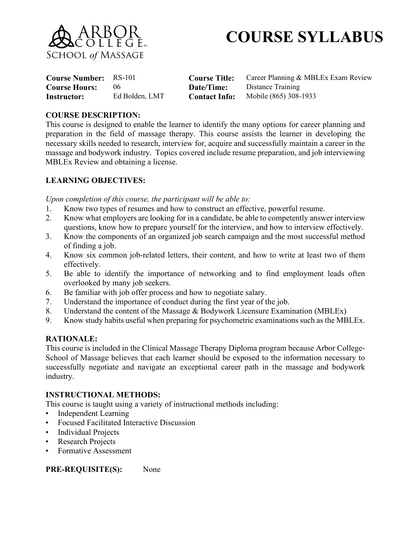

# **COURSE SYLLABUS**

| <b>Course Number:</b> RS-101 |                |                      | <b>Course Title:</b> Career Planning & MBLEx Exam Review |
|------------------------------|----------------|----------------------|----------------------------------------------------------|
| <b>Course Hours:</b>         | $06^{\circ}$   | Date/Time:           | Distance Training                                        |
| Instructor:                  | Ed Bolden, LMT | <b>Contact Info:</b> | Mobile (865) 308-1933                                    |

#### **COURSE DESCRIPTION:**

This course is designed to enable the learner to identify the many options for career planning and preparation in the field of massage therapy. This course assists the learner in developing the necessary skills needed to research, interview for, acquire and successfully maintain a career in the massage and bodywork industry. Topics covered include resume preparation, and job interviewing MBLEx Review and obtaining a license.

### **LEARNING OBJECTIVES:**

*Upon completion of this course, the participant will be able to:*

- 1. Know two types of resumes and how to construct an effective, powerful resume.
- 2. Know what employers are looking for in a candidate, be able to competently answer interview questions, know how to prepare yourself for the interview, and how to interview effectively.
- 3. Know the components of an organized job search campaign and the most successful method of finding a job.
- 4. Know six common job-related letters, their content, and how to write at least two of them effectively.
- 5. Be able to identify the importance of networking and to find employment leads often overlooked by many job seekers.
- 6. Be familiar with job offer process and how to negotiate salary.
- 7. Understand the importance of conduct during the first year of the job.
- 8. Understand the content of the Massage & Bodywork Licensure Examination (MBLEx)
- 9. Know study habits useful when preparing for psychometric examinations such as the MBLEx.

#### **RATIONALE:**

This course is included in the Clinical Massage Therapy Diploma program because Arbor College-School of Massage believes that each learner should be exposed to the information necessary to successfully negotiate and navigate an exceptional career path in the massage and bodywork industry.

#### **INSTRUCTIONAL METHODS:**

This course is taught using a variety of instructional methods including:

- Independent Learning
- Focused Facilitated Interactive Discussion
- Individual Projects
- **Research Projects**
- Formative Assessment

**PRE-REQUISITE(S):** None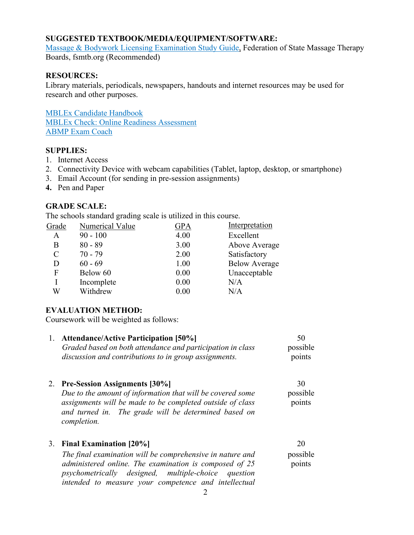## **SUGGESTED TEXTBOOK/MEDIA/EQUIPMENT/SOFTWARE:**

Massage & Bodywork Licensing [Examination](https://www.fsmtb.org/mblex/study-guide/order/) Study Guide, Federation of State Massage Therapy Boards, fsmtb.org (Recommended)

## **RESOURCES:**

Library materials, periodicals, newspapers, handouts and internet resources may be used for research and other purposes.

MBLEx Candidate [Handbook](https://www.fsmtb.org/media/1928/mblex-handbook-2019web-version.pdf) MBLEx Check: Online Readiness [Assessment](https://reach4ce.org/catalog/info/id:147) [ABMP](https://www.abmp.com/students/abmp-exam-coach-plus) Exam Coach

### **SUPPLIES:**

- 1. Internet Access
- 2. Connectivity Device with webcam capabilities (Tablet, laptop, desktop, or smartphone)
- 3. Email Account (for sending in pre-session assignments)
- **4.** Pen and Paper

## **GRADE SCALE:**

The schools standard grading scale is utilized in this course.

| Grade         | Numerical Value | GPA  | Interpretation       |
|---------------|-----------------|------|----------------------|
| Α             | $90 - 100$      | 4.00 | Excellent            |
| В             | $80 - 89$       | 3.00 | Above Average        |
| $\mathcal{C}$ | $70 - 79$       | 2.00 | Satisfactory         |
| D             | $60 - 69$       | 1.00 | <b>Below Average</b> |
| F             | Below 60        | 0.00 | Unacceptable         |
|               | Incomplete      | 0.00 | N/A                  |
| W             | Withdrew        | 0.00 | N/A                  |
|               |                 |      |                      |

## **EVALUATION METHOD:**

Coursework will be weighted as follows:

| 1. | <b>Attendance/Active Participation [50%]</b><br>Graded based on both attendance and participation in class<br>discussion and contributions to in group assignments.                                                                                                        | 50<br>possible<br>points |
|----|----------------------------------------------------------------------------------------------------------------------------------------------------------------------------------------------------------------------------------------------------------------------------|--------------------------|
|    | 2. Pre-Session Assignments [30%]<br>Due to the amount of information that will be covered some<br>assignments will be made to be completed outside of class<br>and turned in. The grade will be determined based on<br>completion.                                         | 30<br>possible<br>points |
|    | 3. Final Examination [20%]<br>The final examination will be comprehensive in nature and<br>administered online. The examination is composed of 25<br><i>psychometrically designed, multiple-choice</i><br>question<br>intended to measure your competence and intellectual | 20<br>possible<br>points |